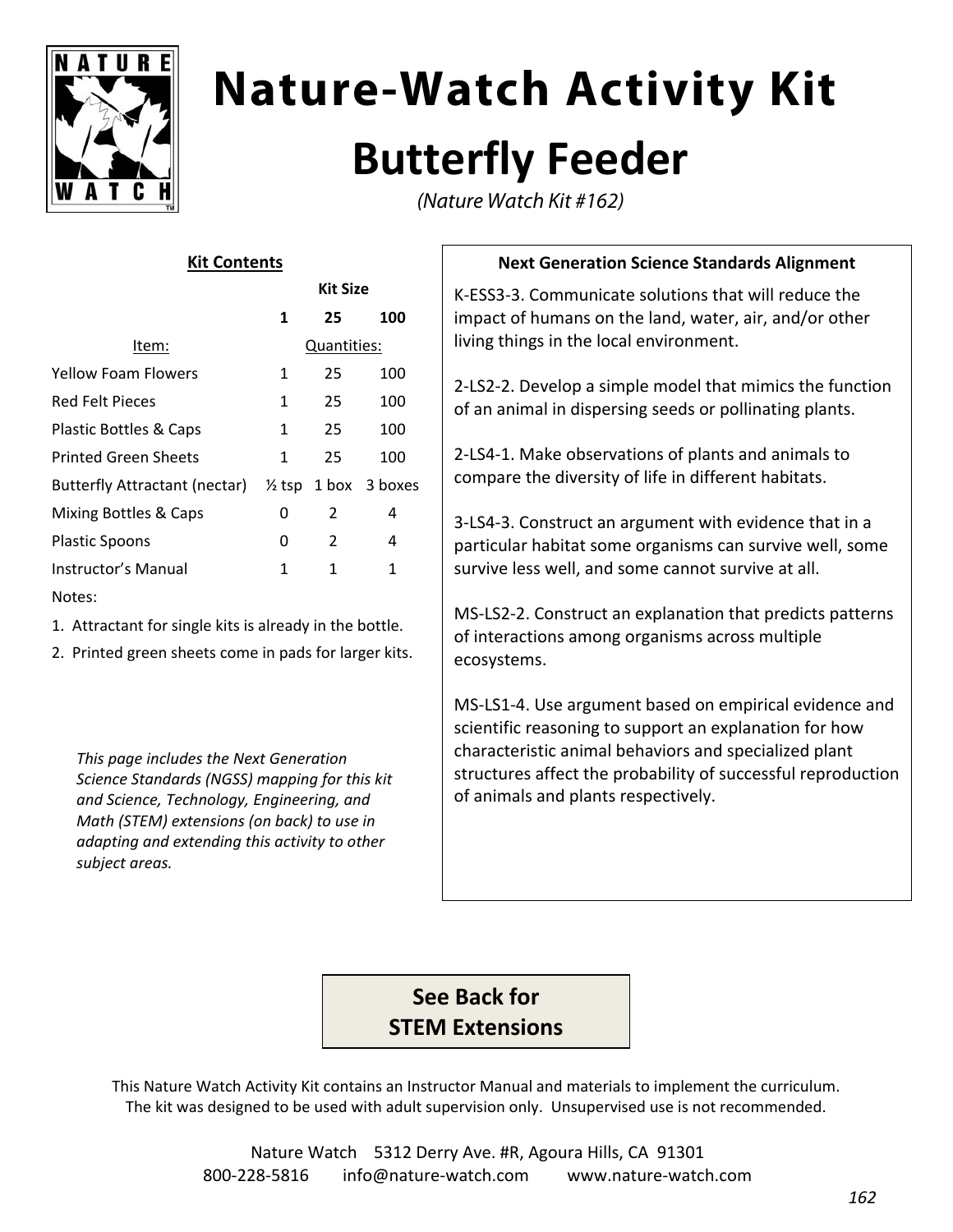

# **Nature-Watch Activity Kit Butterfly Feeder**

(Nature Watch Kit #162)

#### **Kit Contents**

|                               | Kit Size    |    |                                 |
|-------------------------------|-------------|----|---------------------------------|
|                               | 1           | 25 | 100                             |
| ltem:                         | Quantities: |    |                                 |
| <b>Yellow Foam Flowers</b>    | 1           | 25 | 100                             |
| Red Felt Pieces               | 1           | 25 | 100                             |
| Plastic Bottles & Caps        | 1           | 25 | 100                             |
| <b>Printed Green Sheets</b>   | 1           | 25 | 100                             |
| Butterfly Attractant (nectar) |             |    | $\frac{1}{2}$ tsp 1 box 3 boxes |
| Mixing Bottles & Caps         | 0           | 2  | 4                               |
| <b>Plastic Spoons</b>         | 0           | 2  | 4                               |
| Instructor's Manual           | 1           | 1  | 1                               |
| Notes:                        |             |    |                                 |

1. Attractant for single kits is already in the bottle.

2. Printed green sheets come in pads for larger kits.

*This page includes the Next Generation Science Standards (NGSS) mapping for this kit and Science, Technology, Engineering, and Math (STEM) extensions (on back) to use in adapting and extending this activity to other subject areas.*

#### **Next Generation Science Standards Alignment**

K‐ESS3‐3. Communicate solutions that will reduce the impact of humans on the land, water, air, and/or other living things in the local environment.

2‐LS2‐2. Develop a simple model that mimics the function of an animal in dispersing seeds or pollinating plants.

2‐LS4‐1. Make observations of plants and animals to compare the diversity of life in different habitats.

3‐LS4‐3. Construct an argument with evidence that in a particular habitat some organisms can survive well, some survive less well, and some cannot survive at all.

MS‐LS2‐2. Construct an explanation that predicts patterns of interactions among organisms across multiple ecosystems.

MS‐LS1‐4. Use argument based on empirical evidence and scientific reasoning to support an explanation for how characteristic animal behaviors and specialized plant structures affect the probability of successful reproduction of animals and plants respectively.

### **See Back for STEM Extensions**

This Nature Watch Activity Kit contains an Instructor Manual and materials to implement the curriculum. The kit was designed to be used with adult supervision only. Unsupervised use is not recommended.